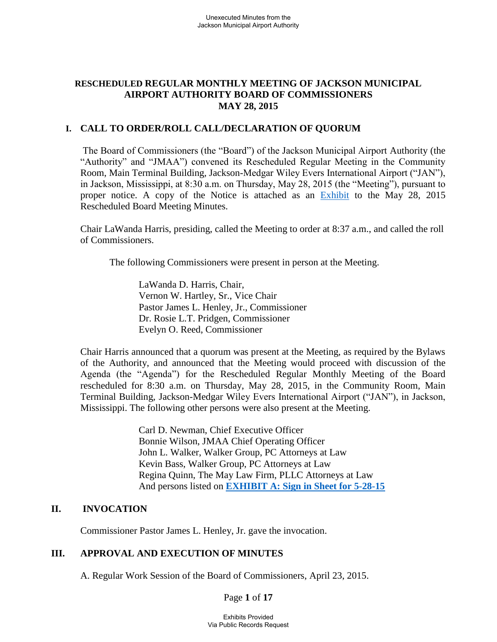## **RESCHEDULED REGULAR MONTHLY MEETING OF JACKSON MUNICIPAL AIRPORT AUTHORITY BOARD OF COMMISSIONERS MAY 28, 2015**

### **I. CALL TO ORDER/ROLL CALL/DECLARATION OF QUORUM**

The Board of Commissioners (the "Board") of the Jackson Municipal Airport Authority (the "Authority" and "JMAA") convened its Rescheduled Regular Meeting in the Community Room, Main Terminal Building, Jackson-Medgar Wiley Evers International Airport ("JAN"), in Jackson, Mississippi, at 8:30 a.m. on Thursday, May 28, 2015 (the "Meeting"), pursuant to proper notice. A copy of the Notice is attached as an [Exhibit](file:///C:/Users/BOARD%20MEETINGS/2015-01%20Board%20Meeting/JMAA%20Notice%20of%20New%20Meeting%20Location%20-%20January%2026,%202015%20-%20JLW%20.pdf) to the May 28, 2015 Rescheduled Board Meeting Minutes.

Chair LaWanda Harris, presiding, called the Meeting to order at 8:37 a.m., and called the roll of Commissioners.

The following Commissioners were present in person at the Meeting.

 LaWanda D. Harris, Chair, Vernon W. Hartley, Sr., Vice Chair Pastor James L. Henley, Jr., Commissioner Dr. Rosie L.T. Pridgen, Commissioner Evelyn O. Reed, Commissioner

 Chair Harris announced that a quorum was present at the Meeting, as required by the Bylaws of the Authority, and announced that the Meeting would proceed with discussion of the Agenda (the "Agenda") for the Rescheduled Regular Monthly Meeting of the Board rescheduled for 8:30 a.m. on Thursday, May 28, 2015, in the Community Room, Main Terminal Building, Jackson-Medgar Wiley Evers International Airport ("JAN"), in Jackson, Mississippi. The following other persons were also present at the Meeting.

> Carl D. Newman, Chief Executive Officer Bonnie Wilson, JMAA Chief Operating Officer John L. Walker, Walker Group, PC Attorneys at Law Kevin Bass, Walker Group, PC Attorneys at Law Regina Quinn, The May Law Firm, PLLC Attorneys at Law And persons listed on **[EXHIBIT A: Sign in Sheet for 5-28-15](../2015-02%20Board%20Meeting/Sign-In%20Sheet%20Regular%20Board%20Meeting%20February%2023%202015.pdf)**

## **II. INVOCATION**

Commissioner Pastor James L. Henley, Jr. gave the invocation.

## **III. APPROVAL AND EXECUTION OF MINUTES**

A. Regular Work Session of the Board of Commissioners, April 23, 2015.

Page **1** of **17**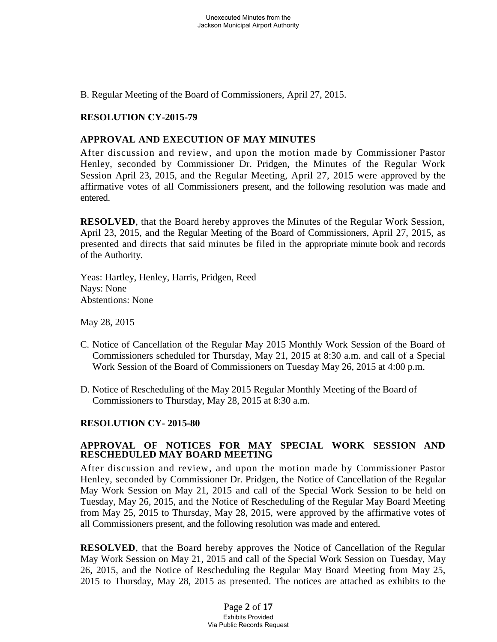B. Regular Meeting of the Board of Commissioners, April 27, 2015.

### **RESOLUTION CY-2015-79**

### **APPROVAL AND EXECUTION OF MAY MINUTES**

After discussion and review, and upon the motion made by Commissioner Pastor Henley, seconded by Commissioner Dr. Pridgen, the Minutes of the Regular Work Session April 23, 2015, and the Regular Meeting, April 27, 2015 were approved by the affirmative votes of all Commissioners present, and the following resolution was made and entered.

**RESOLVED**, that the Board hereby approves the Minutes of the Regular Work Session, April 23, 2015, and the Regular Meeting of the Board of Commissioners, April 27, 2015, as presented and directs that said minutes be filed in the appropriate minute book and records of the Authority.

Yeas: Hartley, Henley, Harris, Pridgen, Reed Nays: None Abstentions: None

May 28, 2015

- C. Notice of Cancellation of the Regular May 2015 Monthly Work Session of the Board of Commissioners scheduled for Thursday, May 21, 2015 at 8:30 a.m. and call of a Special Work Session of the Board of Commissioners on Tuesday May 26, 2015 at 4:00 p.m.
- D. Notice of Rescheduling of the May 2015 Regular Monthly Meeting of the Board of Commissioners to Thursday, May 28, 2015 at 8:30 a.m.

#### **RESOLUTION CY- 2015-80**

### **APPROVAL OF NOTICES FOR MAY SPECIAL WORK SESSION AND RESCHEDULED MAY BOARD MEETING**

After discussion and review, and upon the motion made by Commissioner Pastor Henley, seconded by Commissioner Dr. Pridgen, the Notice of Cancellation of the Regular May Work Session on May 21, 2015 and call of the Special Work Session to be held on Tuesday, May 26, 2015, and the Notice of Rescheduling of the Regular May Board Meeting from May 25, 2015 to Thursday, May 28, 2015, were approved by the affirmative votes of all Commissioners present, and the following resolution was made and entered.

**RESOLVED**, that the Board hereby approves the Notice of Cancellation of the Regular May Work Session on May 21, 2015 and call of the Special Work Session on Tuesday, May 26, 2015, and the Notice of Rescheduling the Regular May Board Meeting from May 25, 2015 to Thursday, May 28, 2015 as presented. The notices are attached as exhibits to the

> Page **2** of **17** Exhibits Provided Via Public Records Request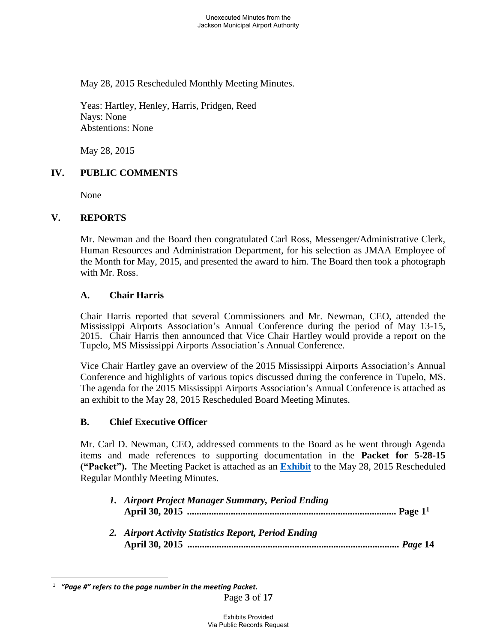May 28, 2015 Rescheduled Monthly Meeting Minutes.

Yeas: Hartley, Henley, Harris, Pridgen, Reed Nays: None Abstentions: None

May 28, 2015

## **IV. PUBLIC COMMENTS**

None

#### **V. REPORTS**

Mr. Newman and the Board then congratulated Carl Ross, Messenger/Administrative Clerk, Human Resources and Administration Department, for his selection as JMAA Employee of the Month for May, 2015, and presented the award to him. The Board then took a photograph with Mr. Ross.

#### **A. Chair Harris**

 Chair Harris reported that several Commissioners and Mr. Newman, CEO, attended the Mississippi Airports Association's Annual Conference during the period of May 13-15, 2015. Chair Harris then announced that Vice Chair Hartley would provide a report on the Tupelo, MS Mississippi Airports Association's Annual Conference.

Vice Chair Hartley gave an overview of the 2015 Mississippi Airports Association's Annual Conference and highlights of various topics discussed during the conference in Tupelo, MS. The agenda for the 2015 Mississippi Airports Association's Annual Conference is attached as an exhibit to the May 28, 2015 Rescheduled Board Meeting Minutes.

#### **B. Chief Executive Officer**

Mr. Carl D. Newman, CEO, addressed comments to the Board as he went through Agenda items and made references to supporting documentation in the **Packet for 5-28-15 ("Packet").** The Meeting Packet is attached as an **[Exhibit](../2015-02%20Board%20Meeting/Packet.pdf)** to the May 28, 2015 Rescheduled Regular Monthly Meeting Minutes.

| 1. Airport Project Manager Summary, Period Ending    |  |
|------------------------------------------------------|--|
| 2. Airport Activity Statistics Report, Period Ending |  |

 $\overline{a}$ 

<sup>1</sup>  *"Page #" refers to the page number in the meeting Packet.*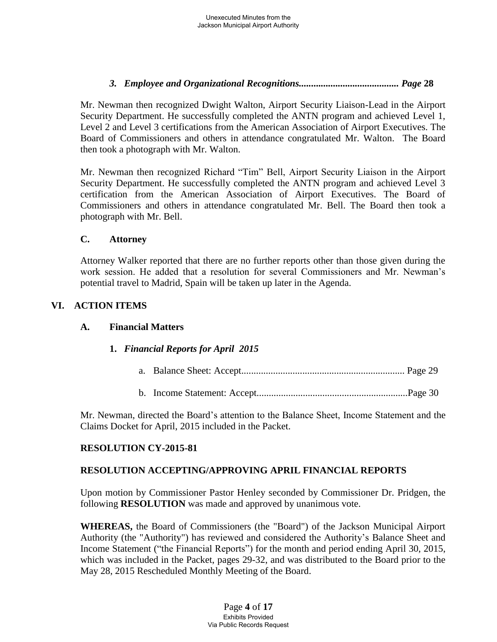# *3. Employee and Organizational Recognitions......................................... Page* **28**

Mr. Newman then recognized Dwight Walton, Airport Security Liaison-Lead in the Airport Security Department. He successfully completed the ANTN program and achieved Level 1, Level 2 and Level 3 certifications from the American Association of Airport Executives. The Board of Commissioners and others in attendance congratulated Mr. Walton. The Board then took a photograph with Mr. Walton.

Mr. Newman then recognized Richard "Tim" Bell, Airport Security Liaison in the Airport Security Department. He successfully completed the ANTN program and achieved Level 3 certification from the American Association of Airport Executives. The Board of Commissioners and others in attendance congratulated Mr. Bell. The Board then took a photograph with Mr. Bell.

### **C. Attorney**

Attorney Walker reported that there are no further reports other than those given during the work session. He added that a resolution for several Commissioners and Mr. Newman's potential travel to Madrid, Spain will be taken up later in the Agenda.

# **VI. ACTION ITEMS**

## **A. Financial Matters**

## **1.** *Financial Reports for April 2015*

- a. Balance Sheet: Accept................................................................... Page 29
- b. Income Statement: Accept..............................................................Page 30

Mr. Newman, directed the Board's attention to the Balance Sheet, Income Statement and the Claims Docket for April, 2015 included in the Packet.

## **RESOLUTION CY-2015-81**

## **RESOLUTION ACCEPTING/APPROVING APRIL FINANCIAL REPORTS**

Upon motion by Commissioner Pastor Henley seconded by Commissioner Dr. Pridgen, the following **RESOLUTION** was made and approved by unanimous vote.

**WHEREAS,** the Board of Commissioners (the "Board") of the Jackson Municipal Airport Authority (the "Authority") has reviewed and considered the Authority's Balance Sheet and Income Statement ("the Financial Reports") for the month and period ending April 30, 2015, which was included in the Packet, pages 29-32, and was distributed to the Board prior to the May 28, 2015 Rescheduled Monthly Meeting of the Board.

> Page **4** of **17** Exhibits Provided Via Public Records Request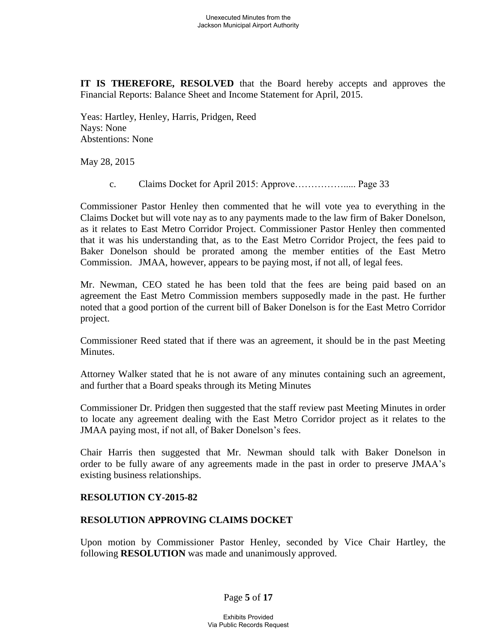**IT IS THEREFORE, RESOLVED** that the Board hereby accepts and approves the Financial Reports: Balance Sheet and Income Statement for April, 2015.

Yeas: Hartley, Henley, Harris, Pridgen, Reed Nays: None Abstentions: None

May 28, 2015

c. Claims Docket for April 2015: Approve……………..... Page 33

Commissioner Pastor Henley then commented that he will vote yea to everything in the Claims Docket but will vote nay as to any payments made to the law firm of Baker Donelson, as it relates to East Metro Corridor Project. Commissioner Pastor Henley then commented that it was his understanding that, as to the East Metro Corridor Project, the fees paid to Baker Donelson should be prorated among the member entities of the East Metro Commission. JMAA, however, appears to be paying most, if not all, of legal fees.

Mr. Newman, CEO stated he has been told that the fees are being paid based on an agreement the East Metro Commission members supposedly made in the past. He further noted that a good portion of the current bill of Baker Donelson is for the East Metro Corridor project.

Commissioner Reed stated that if there was an agreement, it should be in the past Meeting Minutes.

Attorney Walker stated that he is not aware of any minutes containing such an agreement, and further that a Board speaks through its Meting Minutes

Commissioner Dr. Pridgen then suggested that the staff review past Meeting Minutes in order to locate any agreement dealing with the East Metro Corridor project as it relates to the JMAA paying most, if not all, of Baker Donelson's fees.

Chair Harris then suggested that Mr. Newman should talk with Baker Donelson in order to be fully aware of any agreements made in the past in order to preserve JMAA's existing business relationships.

#### **RESOLUTION CY-2015-82**

#### **RESOLUTION APPROVING CLAIMS DOCKET**

Upon motion by Commissioner Pastor Henley, seconded by Vice Chair Hartley, the following **RESOLUTION** was made and unanimously approved.

Page **5** of **17**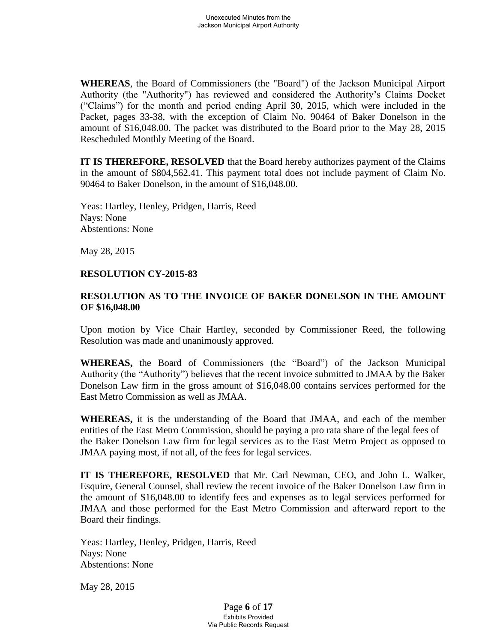**WHEREAS**, the Board of Commissioners (the "Board") of the Jackson Municipal Airport Authority (the "Authority") has reviewed and considered the Authority's Claims Docket ("Claims") for the month and period ending April 30, 2015, which were included in the Packet, pages 33-38, with the exception of Claim No. 90464 of Baker Donelson in the amount of \$16,048.00. The packet was distributed to the Board prior to the May 28, 2015 Rescheduled Monthly Meeting of the Board.

**IT IS THEREFORE, RESOLVED** that the Board hereby authorizes payment of the Claims in the amount of \$804,562.41. This payment total does not include payment of Claim No. 90464 to Baker Donelson, in the amount of \$16,048.00.

 Yeas: Hartley, Henley, Pridgen, Harris, Reed Nays: None Abstentions: None

May 28, 2015

#### **RESOLUTION CY-2015-83**

## **RESOLUTION AS TO THE INVOICE OF BAKER DONELSON IN THE AMOUNT OF \$16,048.00**

Upon motion by Vice Chair Hartley, seconded by Commissioner Reed, the following Resolution was made and unanimously approved.

**WHEREAS,** the Board of Commissioners (the "Board") of the Jackson Municipal Authority (the "Authority") believes that the recent invoice submitted to JMAA by the Baker Donelson Law firm in the gross amount of \$16,048.00 contains services performed for the East Metro Commission as well as JMAA.

**WHEREAS,** it is the understanding of the Board that JMAA, and each of the member entities of the East Metro Commission, should be paying a pro rata share of the legal fees of the Baker Donelson Law firm for legal services as to the East Metro Project as opposed to JMAA paying most, if not all, of the fees for legal services.

**IT IS THEREFORE, RESOLVED** that Mr. Carl Newman, CEO, and John L. Walker, Esquire, General Counsel, shall review the recent invoice of the Baker Donelson Law firm in the amount of \$16,048.00 to identify fees and expenses as to legal services performed for JMAA and those performed for the East Metro Commission and afterward report to the Board their findings.

Yeas: Hartley, Henley, Pridgen, Harris, Reed Nays: None Abstentions: None

May 28, 2015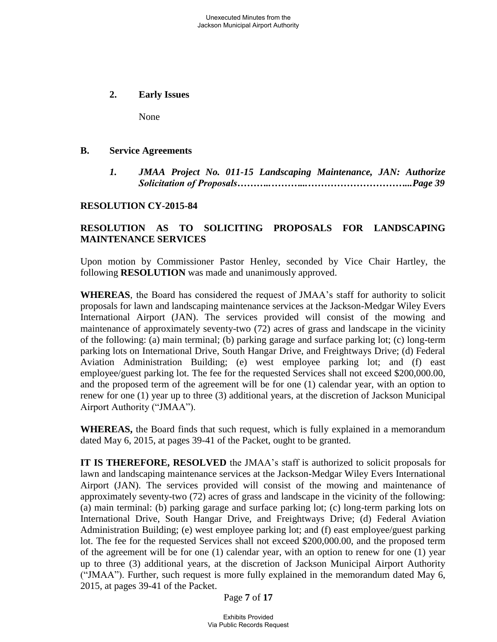**2. Early Issues** 

None

#### **B. Service Agreements**

 *1. JMAA Project No. 011-15 Landscaping Maintenance, JAN: Authorize Solicitation of Proposals………..………...…………………………...Page 39*

#### **RESOLUTION CY-2015-84**

# **RESOLUTION AS TO SOLICITING PROPOSALS FOR LANDSCAPING MAINTENANCE SERVICES**

Upon motion by Commissioner Pastor Henley, seconded by Vice Chair Hartley, the following **RESOLUTION** was made and unanimously approved.

**WHEREAS**, the Board has considered the request of JMAA's staff for authority to solicit proposals for lawn and landscaping maintenance services at the Jackson-Medgar Wiley Evers International Airport (JAN). The services provided will consist of the mowing and maintenance of approximately seventy-two (72) acres of grass and landscape in the vicinity of the following: (a) main terminal; (b) parking garage and surface parking lot; (c) long-term parking lots on International Drive, South Hangar Drive, and Freightways Drive; (d) Federal Aviation Administration Building; (e) west employee parking lot; and (f) east employee/guest parking lot. The fee for the requested Services shall not exceed \$200,000.00, and the proposed term of the agreement will be for one (1) calendar year, with an option to renew for one (1) year up to three (3) additional years, at the discretion of Jackson Municipal Airport Authority ("JMAA").

**WHEREAS,** the Board finds that such request, which is fully explained in a memorandum dated May 6, 2015, at pages 39-41 of the Packet, ought to be granted.

**IT IS THEREFORE, RESOLVED** the JMAA's staff is authorized to solicit proposals for lawn and landscaping maintenance services at the Jackson-Medgar Wiley Evers International Airport (JAN). The services provided will consist of the mowing and maintenance of approximately seventy-two (72) acres of grass and landscape in the vicinity of the following: (a) main terminal: (b) parking garage and surface parking lot; (c) long-term parking lots on International Drive, South Hangar Drive, and Freightways Drive; (d) Federal Aviation Administration Building; (e) west employee parking lot; and (f) east employee/guest parking lot. The fee for the requested Services shall not exceed \$200,000.00, and the proposed term of the agreement will be for one (1) calendar year, with an option to renew for one (1) year up to three (3) additional years, at the discretion of Jackson Municipal Airport Authority ("JMAA"). Further, such request is more fully explained in the memorandum dated May 6, 2015, at pages 39-41 of the Packet.

Page **7** of **17**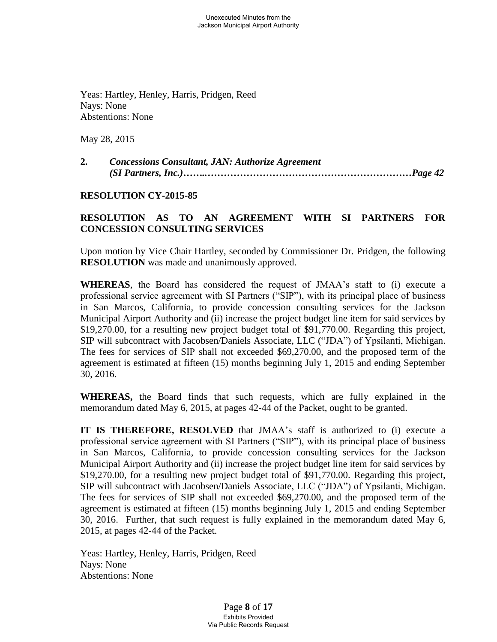Yeas: Hartley, Henley, Harris, Pridgen, Reed Nays: None Abstentions: None

May 28, 2015

**2.** *Concessions Consultant, JAN: Authorize Agreement (SI Partners, Inc.)……..………………………………………………………Page 42* 

### **RESOLUTION CY-2015-85**

### **RESOLUTION AS TO AN AGREEMENT WITH SI PARTNERS FOR CONCESSION CONSULTING SERVICES**

Upon motion by Vice Chair Hartley, seconded by Commissioner Dr. Pridgen, the following **RESOLUTION** was made and unanimously approved.

**WHEREAS**, the Board has considered the request of JMAA's staff to (i) execute a professional service agreement with SI Partners ("SIP"), with its principal place of business in San Marcos, California, to provide concession consulting services for the Jackson Municipal Airport Authority and (ii) increase the project budget line item for said services by \$19,270.00, for a resulting new project budget total of \$91,770.00. Regarding this project, SIP will subcontract with Jacobsen/Daniels Associate, LLC ("JDA") of Ypsilanti, Michigan. The fees for services of SIP shall not exceeded \$69,270.00, and the proposed term of the agreement is estimated at fifteen (15) months beginning July 1, 2015 and ending September 30, 2016.

**WHEREAS,** the Board finds that such requests, which are fully explained in the memorandum dated May 6, 2015, at pages 42-44 of the Packet, ought to be granted.

**IT IS THEREFORE, RESOLVED** that JMAA's staff is authorized to (i) execute a professional service agreement with SI Partners ("SIP"), with its principal place of business in San Marcos, California, to provide concession consulting services for the Jackson Municipal Airport Authority and (ii) increase the project budget line item for said services by \$19,270.00, for a resulting new project budget total of \$91,770.00. Regarding this project, SIP will subcontract with Jacobsen/Daniels Associate, LLC ("JDA") of Ypsilanti, Michigan. The fees for services of SIP shall not exceeded \$69,270.00, and the proposed term of the agreement is estimated at fifteen (15) months beginning July 1, 2015 and ending September 30, 2016. Further, that such request is fully explained in the memorandum dated May 6, 2015, at pages 42-44 of the Packet.

 Yeas: Hartley, Henley, Harris, Pridgen, Reed Nays: None Abstentions: None

> Page **8** of **17** Exhibits Provided Via Public Records Request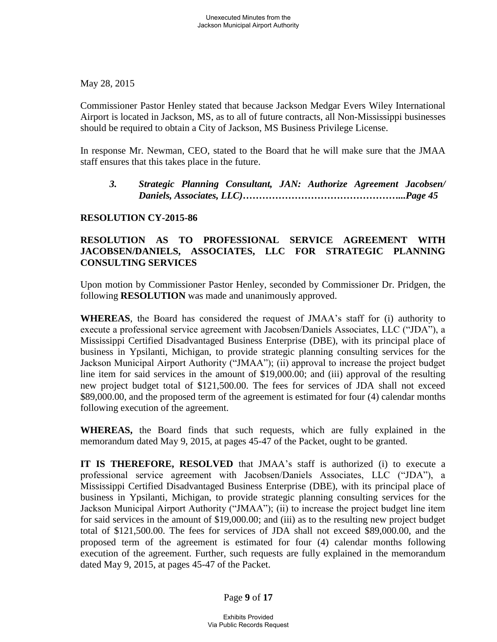May 28, 2015

 Commissioner Pastor Henley stated that because Jackson Medgar Evers Wiley International Airport is located in Jackson, MS, as to all of future contracts, all Non-Mississippi businesses should be required to obtain a City of Jackson, MS Business Privilege License.

 In response Mr. Newman, CEO, stated to the Board that he will make sure that the JMAA staff ensures that this takes place in the future.

*3. Strategic Planning Consultant, JAN: Authorize Agreement Jacobsen/ Daniels, Associates, LLC)…………………………………………...Page 45* 

## **RESOLUTION CY-2015-86**

# **RESOLUTION AS TO PROFESSIONAL SERVICE AGREEMENT WITH JACOBSEN/DANIELS, ASSOCIATES, LLC FOR STRATEGIC PLANNING CONSULTING SERVICES**

Upon motion by Commissioner Pastor Henley, seconded by Commissioner Dr. Pridgen, the following **RESOLUTION** was made and unanimously approved.

**WHEREAS**, the Board has considered the request of JMAA's staff for (i) authority to execute a professional service agreement with Jacobsen/Daniels Associates, LLC ("JDA"), a Mississippi Certified Disadvantaged Business Enterprise (DBE), with its principal place of business in Ypsilanti, Michigan, to provide strategic planning consulting services for the Jackson Municipal Airport Authority ("JMAA"); (ii) approval to increase the project budget line item for said services in the amount of \$19,000.00; and (iii) approval of the resulting new project budget total of \$121,500.00. The fees for services of JDA shall not exceed \$89,000.00, and the proposed term of the agreement is estimated for four (4) calendar months following execution of the agreement.

**WHEREAS,** the Board finds that such requests, which are fully explained in the memorandum dated May 9, 2015, at pages 45-47 of the Packet, ought to be granted.

**IT IS THEREFORE, RESOLVED** that JMAA's staff is authorized (i) to execute a professional service agreement with Jacobsen/Daniels Associates, LLC ("JDA"), a Mississippi Certified Disadvantaged Business Enterprise (DBE), with its principal place of business in Ypsilanti, Michigan, to provide strategic planning consulting services for the Jackson Municipal Airport Authority ("JMAA"); (ii) to increase the project budget line item for said services in the amount of \$19,000.00; and (iii) as to the resulting new project budget total of \$121,500.00. The fees for services of JDA shall not exceed \$89,000.00, and the proposed term of the agreement is estimated for four (4) calendar months following execution of the agreement. Further, such requests are fully explained in the memorandum dated May 9, 2015, at pages 45-47 of the Packet.

Page **9** of **17**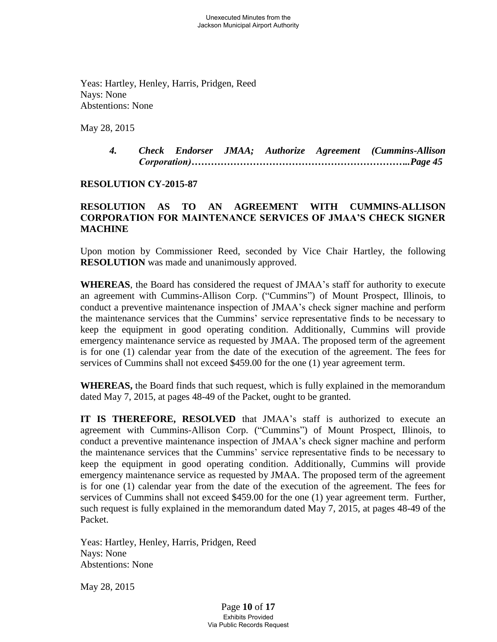Yeas: Hartley, Henley, Harris, Pridgen, Reed Nays: None Abstentions: None

May 28, 2015

*4. Check Endorser JMAA; Authorize Agreement (Cummins-Allison Corporation)…………………………………………………………..Page 45* 

#### **RESOLUTION CY-2015-87**

## **RESOLUTION AS TO AN AGREEMENT WITH CUMMINS-ALLISON CORPORATION FOR MAINTENANCE SERVICES OF JMAA'S CHECK SIGNER MACHINE**

Upon motion by Commissioner Reed, seconded by Vice Chair Hartley, the following **RESOLUTION** was made and unanimously approved.

**WHEREAS**, the Board has considered the request of JMAA's staff for authority to execute an agreement with Cummins-Allison Corp. ("Cummins") of Mount Prospect, Illinois, to conduct a preventive maintenance inspection of JMAA's check signer machine and perform the maintenance services that the Cummins' service representative finds to be necessary to keep the equipment in good operating condition. Additionally, Cummins will provide emergency maintenance service as requested by JMAA. The proposed term of the agreement is for one (1) calendar year from the date of the execution of the agreement. The fees for services of Cummins shall not exceed \$459.00 for the one (1) year agreement term.

**WHEREAS,** the Board finds that such request, which is fully explained in the memorandum dated May 7, 2015, at pages 48-49 of the Packet, ought to be granted.

**IT IS THEREFORE, RESOLVED** that JMAA's staff is authorized to execute an agreement with Cummins-Allison Corp. ("Cummins") of Mount Prospect, Illinois, to conduct a preventive maintenance inspection of JMAA's check signer machine and perform the maintenance services that the Cummins' service representative finds to be necessary to keep the equipment in good operating condition. Additionally, Cummins will provide emergency maintenance service as requested by JMAA. The proposed term of the agreement is for one (1) calendar year from the date of the execution of the agreement. The fees for services of Cummins shall not exceed \$459.00 for the one (1) year agreement term. Further, such request is fully explained in the memorandum dated May 7, 2015, at pages 48-49 of the Packet.

 Yeas: Hartley, Henley, Harris, Pridgen, Reed Nays: None Abstentions: None

May 28, 2015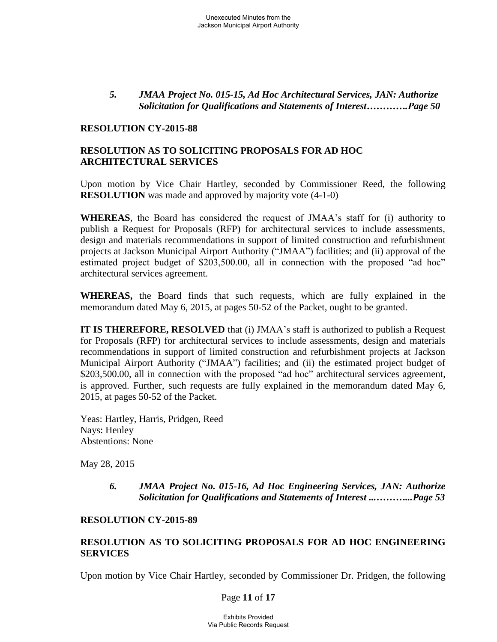### *5. JMAA Project No. 015-15, Ad Hoc Architectural Services, JAN: Authorize Solicitation for Qualifications and Statements of Interest………….Page 50*

#### **RESOLUTION CY-2015-88**

# **RESOLUTION AS TO SOLICITING PROPOSALS FOR AD HOC ARCHITECTURAL SERVICES**

Upon motion by Vice Chair Hartley, seconded by Commissioner Reed, the following **RESOLUTION** was made and approved by majority vote  $(4-1-0)$ 

**WHEREAS**, the Board has considered the request of JMAA's staff for (i) authority to publish a Request for Proposals (RFP) for architectural services to include assessments, design and materials recommendations in support of limited construction and refurbishment projects at Jackson Municipal Airport Authority ("JMAA") facilities; and (ii) approval of the estimated project budget of \$203,500.00, all in connection with the proposed "ad hoc" architectural services agreement.

**WHEREAS,** the Board finds that such requests, which are fully explained in the memorandum dated May 6, 2015, at pages 50-52 of the Packet, ought to be granted.

**IT IS THEREFORE, RESOLVED** that (i) JMAA's staff is authorized to publish a Request for Proposals (RFP) for architectural services to include assessments, design and materials recommendations in support of limited construction and refurbishment projects at Jackson Municipal Airport Authority ("JMAA") facilities; and (ii) the estimated project budget of \$203,500.00, all in connection with the proposed "ad hoc" architectural services agreement, is approved. Further, such requests are fully explained in the memorandum dated May 6, 2015, at pages 50-52 of the Packet.

 Yeas: Hartley, Harris, Pridgen, Reed Nays: Henley Abstentions: None

May 28, 2015

*6. JMAA Project No. 015-16, Ad Hoc Engineering Services, JAN: Authorize Solicitation for Qualifications and Statements of Interest ...………...Page 53*

#### **RESOLUTION CY-2015-89**

## **RESOLUTION AS TO SOLICITING PROPOSALS FOR AD HOC ENGINEERING SERVICES**

Upon motion by Vice Chair Hartley, seconded by Commissioner Dr. Pridgen, the following

#### Page **11** of **17**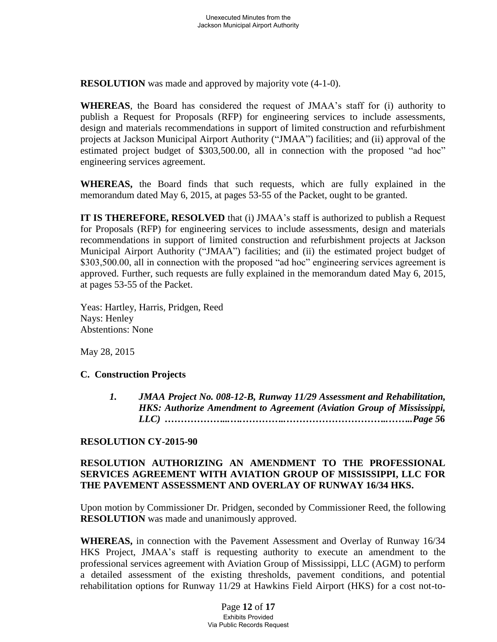**RESOLUTION** was made and approved by majority vote  $(4-1-0)$ .

**WHEREAS**, the Board has considered the request of JMAA's staff for (i) authority to publish a Request for Proposals (RFP) for engineering services to include assessments, design and materials recommendations in support of limited construction and refurbishment projects at Jackson Municipal Airport Authority ("JMAA") facilities; and (ii) approval of the estimated project budget of \$303,500.00, all in connection with the proposed "ad hoc" engineering services agreement.

**WHEREAS,** the Board finds that such requests, which are fully explained in the memorandum dated May 6, 2015, at pages 53-55 of the Packet, ought to be granted.

**IT IS THEREFORE, RESOLVED** that (i) JMAA's staff is authorized to publish a Request for Proposals (RFP) for engineering services to include assessments, design and materials recommendations in support of limited construction and refurbishment projects at Jackson Municipal Airport Authority ("JMAA") facilities; and (ii) the estimated project budget of \$303,500.00, all in connection with the proposed "ad hoc" engineering services agreement is approved. Further, such requests are fully explained in the memorandum dated May 6, 2015, at pages 53-55 of the Packet.

 Yeas: Hartley, Harris, Pridgen, Reed Nays: Henley Abstentions: None

May 28, 2015

## **C. Construction Projects**

*1. JMAA Project No. 008-12-B, Runway 11/29 Assessment and Rehabilitation, HKS: Authorize Amendment to Agreement (Aviation Group of Mississippi, LLC) ………………...….…………..…………………………..……..Page 5***6** 

## **RESOLUTION CY-2015-90**

## **RESOLUTION AUTHORIZING AN AMENDMENT TO THE PROFESSIONAL SERVICES AGREEMENT WITH AVIATION GROUP OF MISSISSIPPI, LLC FOR THE PAVEMENT ASSESSMENT AND OVERLAY OF RUNWAY 16/34 HKS.**

Upon motion by Commissioner Dr. Pridgen, seconded by Commissioner Reed, the following **RESOLUTION** was made and unanimously approved.

 **WHEREAS,** in connection with the Pavement Assessment and Overlay of Runway 16/34 HKS Project, JMAA's staff is requesting authority to execute an amendment to the professional services agreement with Aviation Group of Mississippi, LLC (AGM) to perform a detailed assessment of the existing thresholds, pavement conditions, and potential rehabilitation options for Runway 11/29 at Hawkins Field Airport (HKS) for a cost not-to-

> Page **12** of **17** Exhibits Provided Via Public Records Request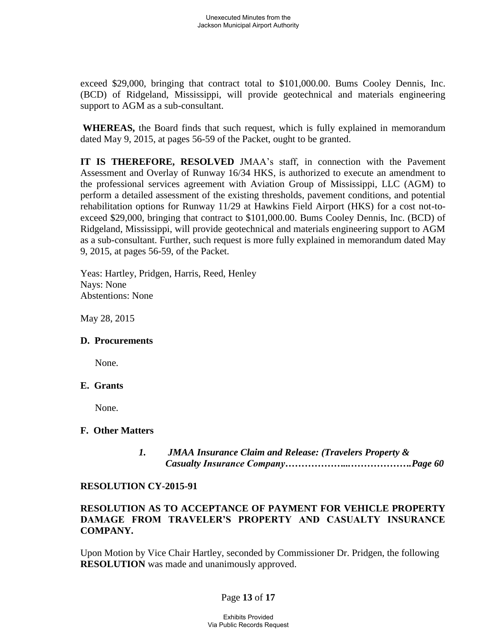exceed \$29,000, bringing that contract total to \$101,000.00. Bums Cooley Dennis, Inc. (BCD) of Ridgeland, Mississippi, will provide geotechnical and materials engineering support to AGM as a sub-consultant.

 **WHEREAS,** the Board finds that such request, which is fully explained in memorandum dated May 9, 2015, at pages 56-59 of the Packet, ought to be granted.

**IT IS THEREFORE, RESOLVED** JMAA's staff, in connection with the Pavement Assessment and Overlay of Runway 16/34 HKS, is authorized to execute an amendment to the professional services agreement with Aviation Group of Mississippi, LLC (AGM) to perform a detailed assessment of the existing thresholds, pavement conditions, and potential rehabilitation options for Runway 11/29 at Hawkins Field Airport (HKS) for a cost not-toexceed \$29,000, bringing that contract to \$101,000.00. Bums Cooley Dennis, Inc. (BCD) of Ridgeland, Mississippi, will provide geotechnical and materials engineering support to AGM as a sub-consultant. Further, such request is more fully explained in memorandum dated May 9, 2015, at pages 56-59, of the Packet.

Yeas: Hartley, Pridgen, Harris, Reed, Henley Nays: None Abstentions: None

May 28, 2015

#### **D. Procurements**

None.

#### **E. Grants**

None.

#### **F. Other Matters**

 *1. JMAA Insurance Claim and Release: (Travelers Property & Casualty Insurance Company………………...……………….Page 60*

#### **RESOLUTION CY-2015-91**

### **RESOLUTION AS TO ACCEPTANCE OF PAYMENT FOR VEHICLE PROPERTY DAMAGE FROM TRAVELER'S PROPERTY AND CASUALTY INSURANCE COMPANY.**

Upon Motion by Vice Chair Hartley, seconded by Commissioner Dr. Pridgen, the following **RESOLUTION** was made and unanimously approved.

## Page **13** of **17**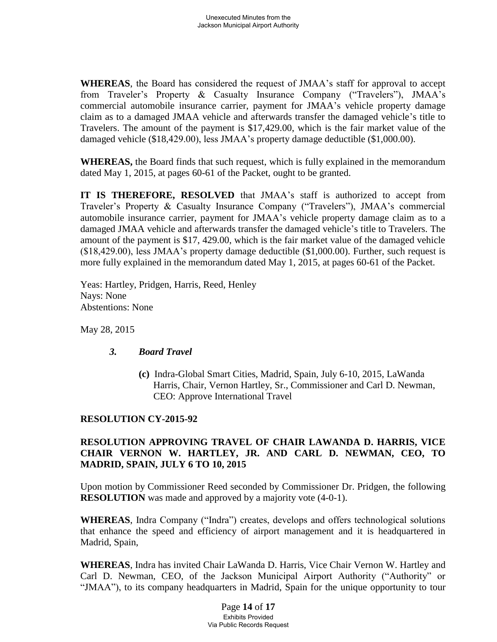**WHEREAS**, the Board has considered the request of JMAA's staff for approval to accept from Traveler's Property & Casualty Insurance Company ("Travelers"), JMAA's commercial automobile insurance carrier, payment for JMAA's vehicle property damage claim as to a damaged JMAA vehicle and afterwards transfer the damaged vehicle's title to Travelers. The amount of the payment is \$17,429.00, which is the fair market value of the damaged vehicle (\$18,429.00), less JMAA's property damage deductible (\$1,000.00).

**WHEREAS,** the Board finds that such request, which is fully explained in the memorandum dated May 1, 2015, at pages 60-61 of the Packet, ought to be granted.

**IT IS THEREFORE, RESOLVED** that JMAA's staff is authorized to accept from Traveler's Property & Casualty Insurance Company ("Travelers"), JMAA's commercial automobile insurance carrier, payment for JMAA's vehicle property damage claim as to a damaged JMAA vehicle and afterwards transfer the damaged vehicle's title to Travelers. The amount of the payment is \$17, 429.00, which is the fair market value of the damaged vehicle (\$18,429.00), less JMAA's property damage deductible (\$1,000.00). Further, such request is more fully explained in the memorandum dated May 1, 2015, at pages 60-61 of the Packet.

Yeas: Hartley, Pridgen, Harris, Reed, Henley Nays: None Abstentions: None

May 28, 2015

## *3. Board Travel*

**(c)**Indra-Global Smart Cities, Madrid, Spain, July 6-10, 2015, LaWanda Harris, Chair, Vernon Hartley, Sr., Commissioner and Carl D. Newman, CEO: Approve International Travel

## **RESOLUTION CY-2015-92**

# **RESOLUTION APPROVING TRAVEL OF CHAIR LAWANDA D. HARRIS, VICE CHAIR VERNON W. HARTLEY, JR. AND CARL D. NEWMAN, CEO, TO MADRID, SPAIN, JULY 6 TO 10, 2015**

Upon motion by Commissioner Reed seconded by Commissioner Dr. Pridgen, the following **RESOLUTION** was made and approved by a majority vote  $(4-0-1)$ .

**WHEREAS**, Indra Company ("Indra") creates, develops and offers technological solutions that enhance the speed and efficiency of airport management and it is headquartered in Madrid, Spain,

**WHEREAS**, Indra has invited Chair LaWanda D. Harris, Vice Chair Vernon W. Hartley and Carl D. Newman, CEO, of the Jackson Municipal Airport Authority ("Authority" or "JMAA"), to its company headquarters in Madrid, Spain for the unique opportunity to tour

> Page **14** of **17** Exhibits Provided Via Public Records Request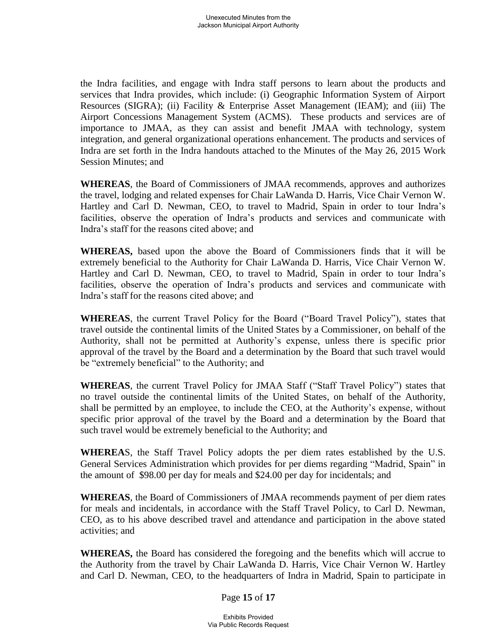the Indra facilities, and engage with Indra staff persons to learn about the products and services that Indra provides, which include: (i) Geographic Information System of Airport Resources (SIGRA); (ii) Facility & Enterprise Asset Management (IEAM); and (iii) The Airport Concessions Management System (ACMS). These products and services are of importance to JMAA, as they can assist and benefit JMAA with technology, system integration, and general organizational operations enhancement. The products and services of Indra are set forth in the Indra handouts attached to the Minutes of the May 26, 2015 Work Session Minutes; and

**WHEREAS**, the Board of Commissioners of JMAA recommends, approves and authorizes the travel, lodging and related expenses for Chair LaWanda D. Harris, Vice Chair Vernon W. Hartley and Carl D. Newman, CEO, to travel to Madrid, Spain in order to tour Indra's facilities, observe the operation of Indra's products and services and communicate with Indra's staff for the reasons cited above; and

**WHEREAS,** based upon the above the Board of Commissioners finds that it will be extremely beneficial to the Authority for Chair LaWanda D. Harris, Vice Chair Vernon W. Hartley and Carl D. Newman, CEO, to travel to Madrid, Spain in order to tour Indra's facilities, observe the operation of Indra's products and services and communicate with Indra's staff for the reasons cited above; and

**WHEREAS**, the current Travel Policy for the Board ("Board Travel Policy"), states that travel outside the continental limits of the United States by a Commissioner, on behalf of the Authority, shall not be permitted at Authority's expense, unless there is specific prior approval of the travel by the Board and a determination by the Board that such travel would be "extremely beneficial" to the Authority; and

 **WHEREAS**, the current Travel Policy for JMAA Staff ("Staff Travel Policy") states that no travel outside the continental limits of the United States, on behalf of the Authority, shall be permitted by an employee, to include the CEO, at the Authority's expense, without specific prior approval of the travel by the Board and a determination by the Board that such travel would be extremely beneficial to the Authority; and

**WHEREA**S, the Staff Travel Policy adopts the per diem rates established by the U.S. General Services Administration which provides for per diems regarding "Madrid, Spain" in the amount of \$98.00 per day for meals and \$24.00 per day for incidentals; and

**WHEREAS**, the Board of Commissioners of JMAA recommends payment of per diem rates for meals and incidentals, in accordance with the Staff Travel Policy, to Carl D. Newman, CEO, as to his above described travel and attendance and participation in the above stated activities; and

**WHEREAS,** the Board has considered the foregoing and the benefits which will accrue to the Authority from the travel by Chair LaWanda D. Harris, Vice Chair Vernon W. Hartley and Carl D. Newman, CEO, to the headquarters of Indra in Madrid, Spain to participate in

Page **15** of **17**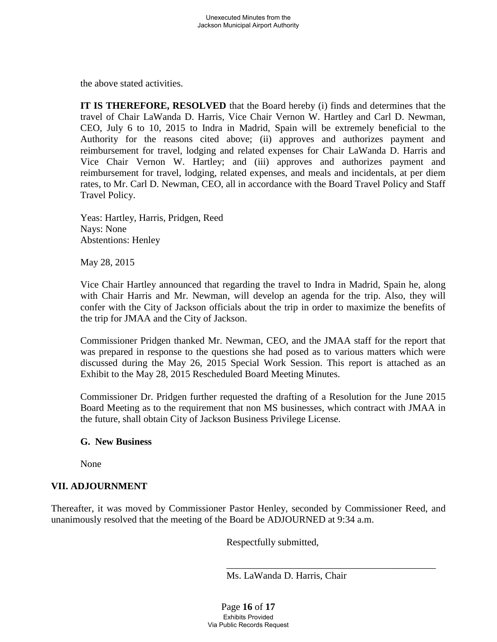the above stated activities.

**IT IS THEREFORE, RESOLVED** that the Board hereby (i) finds and determines that the travel of Chair LaWanda D. Harris, Vice Chair Vernon W. Hartley and Carl D. Newman, CEO, July 6 to 10, 2015 to Indra in Madrid, Spain will be extremely beneficial to the Authority for the reasons cited above; (ii) approves and authorizes payment and reimbursement for travel, lodging and related expenses for Chair LaWanda D. Harris and Vice Chair Vernon W. Hartley; and (iii) approves and authorizes payment and reimbursement for travel, lodging, related expenses, and meals and incidentals, at per diem rates, to Mr. Carl D. Newman, CEO, all in accordance with the Board Travel Policy and Staff Travel Policy.

 Yeas: Hartley, Harris, Pridgen, Reed Nays: None Abstentions: Henley

May 28, 2015

Vice Chair Hartley announced that regarding the travel to Indra in Madrid, Spain he, along with Chair Harris and Mr. Newman, will develop an agenda for the trip. Also, they will confer with the City of Jackson officials about the trip in order to maximize the benefits of the trip for JMAA and the City of Jackson.

Commissioner Pridgen thanked Mr. Newman, CEO, and the JMAA staff for the report that was prepared in response to the questions she had posed as to various matters which were discussed during the May 26, 2015 Special Work Session. This report is attached as an Exhibit to the May 28, 2015 Rescheduled Board Meeting Minutes.

Commissioner Dr. Pridgen further requested the drafting of a Resolution for the June 2015 Board Meeting as to the requirement that non MS businesses, which contract with JMAA in the future, shall obtain City of Jackson Business Privilege License.

#### **G. New Business**

None

#### **VII. ADJOURNMENT**

Thereafter, it was moved by Commissioner Pastor Henley, seconded by Commissioner Reed, and unanimously resolved that the meeting of the Board be ADJOURNED at 9:34 a.m.

Respectfully submitted,

Ms. LaWanda D. Harris, Chair

Page **16** of **17** Exhibits Provided Via Public Records Request

 $\overline{\phantom{a}}$  , which is a set of the set of the set of the set of the set of the set of the set of the set of the set of the set of the set of the set of the set of the set of the set of the set of the set of the set of th